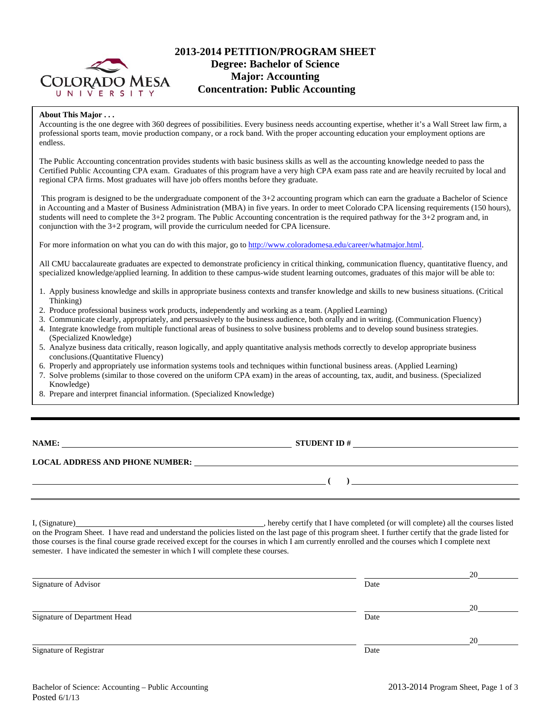

# **2013-2014 PETITION/PROGRAM SHEET Degree: Bachelor of Science Major: Accounting Concentration: Public Accounting**

#### **About This Major . . .**

Accounting is the one degree with 360 degrees of possibilities. Every business needs accounting expertise, whether it's a Wall Street law firm, a professional sports team, movie production company, or a rock band. With the proper accounting education your employment options are endless.

The Public Accounting concentration provides students with basic business skills as well as the accounting knowledge needed to pass the Certified Public Accounting CPA exam. Graduates of this program have a very high CPA exam pass rate and are heavily recruited by local and regional CPA firms. Most graduates will have job offers months before they graduate.

 This program is designed to be the undergraduate component of the 3+2 accounting program which can earn the graduate a Bachelor of Science in Accounting and a Master of Business Administration (MBA) in five years. In order to meet Colorado CPA licensing requirements (150 hours), students will need to complete the 3+2 program. The Public Accounting concentration is the required pathway for the 3+2 program and, in conjunction with the 3+2 program, will provide the curriculum needed for CPA licensure.

For more information on what you can do with this major, go to http://www.coloradomesa.edu/career/whatmajor.html.

All CMU baccalaureate graduates are expected to demonstrate proficiency in critical thinking, communication fluency, quantitative fluency, and specialized knowledge/applied learning. In addition to these campus-wide student learning outcomes, graduates of this major will be able to:

- 1. Apply business knowledge and skills in appropriate business contexts and transfer knowledge and skills to new business situations. (Critical Thinking)
- 2. Produce professional business work products, independently and working as a team. (Applied Learning)
- 3. Communicate clearly, appropriately, and persuasively to the business audience, both orally and in writing. (Communication Fluency)
- 4. Integrate knowledge from multiple functional areas of business to solve business problems and to develop sound business strategies. (Specialized Knowledge)
- 5. Analyze business data critically, reason logically, and apply quantitative analysis methods correctly to develop appropriate business conclusions.(Quantitative Fluency)
- 6. Properly and appropriately use information systems tools and techniques within functional business areas. (Applied Learning)
- 7. Solve problems (similar to those covered on the uniform CPA exam) in the areas of accounting, tax, audit, and business. (Specialized Knowledge)
- 8. Prepare and interpret financial information. (Specialized Knowledge)

| <b>NAME:</b> |  |
|--------------|--|
|--------------|--|

**NAME:** STUDENT ID #

### **LOCAL ADDRESS AND PHONE NUMBER:**

I, (Signature) , hereby certify that I have completed (or will complete) all the courses listed on the Program Sheet. I have read and understand the policies listed on the last page of this program sheet. I further certify that the grade listed for those courses is the final course grade received except for the courses in which I am currently enrolled and the courses which I complete next semester. I have indicated the semester in which I will complete these courses.

|                              |      | 20 |
|------------------------------|------|----|
| Signature of Advisor         | Date |    |
|                              |      | 20 |
| Signature of Department Head | Date |    |
|                              |      | 20 |
| Signature of Registrar       | Date |    |

 **( )**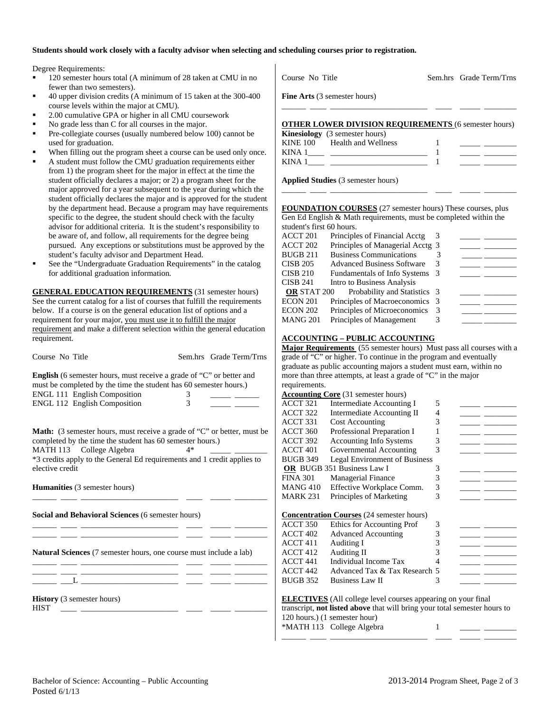### **Students should work closely with a faculty advisor when selecting and scheduling courses prior to registration.**

Degree Requirements:

- <sup>120</sup> semester hours total (A minimum of 28 taken at CMU in no fewer than two semesters).
- 40 upper division credits (A minimum of 15 taken at the 300-400 course levels within the major at CMU).
- 2.00 cumulative GPA or higher in all CMU coursework
- No grade less than C for all courses in the major.
- Pre-collegiate courses (usually numbered below 100) cannot be used for graduation.
- When filling out the program sheet a course can be used only once.
- A student must follow the CMU graduation requirements either from 1) the program sheet for the major in effect at the time the student officially declares a major; or 2) a program sheet for the major approved for a year subsequent to the year during which the student officially declares the major and is approved for the student by the department head. Because a program may have requirements specific to the degree, the student should check with the faculty advisor for additional criteria. It is the student's responsibility to be aware of, and follow, all requirements for the degree being pursued. Any exceptions or substitutions must be approved by the student's faculty advisor and Department Head.
- See the "Undergraduate Graduation Requirements" in the catalog for additional graduation information.

**GENERAL EDUCATION REQUIREMENTS** (31 semester hours) See the current catalog for a list of courses that fulfill the requirements below. If a course is on the general education list of options and a requirement for your major, you must use it to fulfill the major requirement and make a different selection within the general education requirement.

| <b>English</b> (6 semester hours, must receive a grade of "C" or better and |   |  |
|-----------------------------------------------------------------------------|---|--|
| must be completed by the time the student has 60 semester hours.)           |   |  |
| <b>ENGL 111 English Composition</b>                                         | 3 |  |
| <b>ENGL 112 English Composition</b>                                         | 3 |  |
|                                                                             |   |  |

Course No Title Sem.hrs Grade Term/Trns

**Math:** (3 semester hours, must receive a grade of "C" or better, must be completed by the time the student has 60 semester hours.) MATH 113 College Algebra 4\* \*3 credits apply to the General Ed requirements and 1 credit applies to elective credit

\_\_\_\_\_\_ \_\_\_\_ \_\_\_\_\_\_\_\_\_\_\_\_\_\_\_\_\_\_\_\_\_\_\_\_ \_\_\_\_ \_\_\_\_\_ \_\_\_\_\_\_\_\_

\_\_\_\_\_\_ \_\_\_\_ \_\_\_\_\_\_\_\_\_\_\_\_\_\_\_\_\_\_\_\_\_\_\_\_ \_\_\_\_ \_\_\_\_\_ \_\_\_\_\_\_\_\_ \_\_\_\_\_\_ \_\_\_\_ \_\_\_\_\_\_\_\_\_\_\_\_\_\_\_\_\_\_\_\_\_\_\_\_ \_\_\_\_ \_\_\_\_\_ \_\_\_\_\_\_\_\_

**Humanities** (3 semester hours)

**Social and Behavioral Sciences** (6 semester hours)

**Natural Sciences** (7 semester hours, one course must include a lab)

\_\_\_\_\_\_ \_\_\_\_ \_\_\_\_\_\_\_\_\_\_\_\_\_\_\_\_\_\_\_\_\_\_\_\_ \_\_\_\_ \_\_\_\_\_ \_\_\_\_\_\_\_\_ \_\_\_\_\_\_ \_\_\_\_ \_\_\_\_\_\_\_\_\_\_\_\_\_\_\_\_\_\_\_\_\_\_\_\_ \_\_\_\_ \_\_\_\_\_ \_\_\_\_\_\_\_\_  $\_\_\_$   $\_\_\_$ 

**History** (3 semester hours)

 $HIST \longrightarrow$ 

|             | <b>Fine Arts</b> (3 semester hours)                         |  |  |
|-------------|-------------------------------------------------------------|--|--|
|             | <b>OTHER LOWER DIVISION REQUIREMENTS (6 semester hours)</b> |  |  |
|             | <b>Kinesiology</b> (3 semester hours)                       |  |  |
| KINE 100    | Health and Wellness                                         |  |  |
| <b>KINA</b> |                                                             |  |  |

Course No Title Sem.hrs Grade Term/Trns

**Applied Studies** (3 semester hours)

KINA 1

**FOUNDATION COURSES** (27 semester hours) These courses, plus Gen Ed English & Math requirements, must be completed within the student's first 60 hours.

\_\_\_\_\_\_ \_\_\_\_ \_\_\_\_\_\_\_\_\_\_\_\_\_\_\_\_\_\_\_\_\_\_\_\_ \_\_\_\_ \_\_\_\_\_ \_\_\_\_\_\_\_\_

| ACCT 201           | Principles of Financial Acctg     |  |  |
|--------------------|-----------------------------------|--|--|
| ACCT 202           | Principles of Managerial Acctg 3  |  |  |
| BUGB 211           | <b>Business Communications</b>    |  |  |
| CISB 205           | <b>Advanced Business Software</b> |  |  |
| CISB 210           | Fundamentals of Info Systems 3    |  |  |
| CISB 241           | Intro to Business Analysis        |  |  |
| <b>OR STAT 200</b> | Probability and Statistics 3      |  |  |
| ECON 201           | Principles of Macroeconomics 3    |  |  |
| ECON 202           | Principles of Microeconomics      |  |  |
| MANG 201           | Principles of Management          |  |  |

## **ACCOUNTING – PUBLIC ACCOUNTING**

**Major Requirements** (55 semester hours) Must pass all courses with a grade of "C" or higher. To continue in the program and eventually graduate as public accounting majors a student must earn, within no more than three attempts, at least a grade of "C" in the major requirements.

|                     | <b>Accounting Core</b> (31 semester hours)                                                                                                                                                                                                                                                                                               |   |  |
|---------------------|------------------------------------------------------------------------------------------------------------------------------------------------------------------------------------------------------------------------------------------------------------------------------------------------------------------------------------------|---|--|
| ACCT 321            | Intermediate Accounting I                                                                                                                                                                                                                                                                                                                | 5 |  |
| ACCT 322            | <b>Intermediate Accounting II</b>                                                                                                                                                                                                                                                                                                        | 4 |  |
| ACCT 331            | <b>Cost Accounting</b>                                                                                                                                                                                                                                                                                                                   | 3 |  |
| ACCT 360            | Professional Preparation I                                                                                                                                                                                                                                                                                                               |   |  |
| ACCT 392            | <b>Accounting Info Systems</b>                                                                                                                                                                                                                                                                                                           | 3 |  |
| ACCT 401            | Governmental Accounting                                                                                                                                                                                                                                                                                                                  | 3 |  |
| <b>BUGB 349</b>     | <b>Legal Environment of Business</b>                                                                                                                                                                                                                                                                                                     |   |  |
|                     | OR BUGB 351 Business Law I                                                                                                                                                                                                                                                                                                               | 3 |  |
| <b>FINA 301</b>     | <b>Managerial Finance</b>                                                                                                                                                                                                                                                                                                                | 3 |  |
| <b>MANG 410</b>     | Effective Workplace Comm.                                                                                                                                                                                                                                                                                                                | 3 |  |
| <b>MARK 231</b>     | Principles of Marketing                                                                                                                                                                                                                                                                                                                  | 3 |  |
|                     | <b>Concentration Courses</b> (24 semester hours)                                                                                                                                                                                                                                                                                         |   |  |
| <b>ACCT 350</b>     | Ethics for Accounting Prof                                                                                                                                                                                                                                                                                                               | 3 |  |
| ACCT 402            | <b>Advanced Accounting</b>                                                                                                                                                                                                                                                                                                               | 3 |  |
| ACCT 411            | Auditing I                                                                                                                                                                                                                                                                                                                               | 3 |  |
| ACCT 412            | Auditing II                                                                                                                                                                                                                                                                                                                              | 3 |  |
| ACCT <sub>441</sub> | Individual Income Tax                                                                                                                                                                                                                                                                                                                    | 4 |  |
| ACCT 442            | Advanced Tax & Tax Research 5                                                                                                                                                                                                                                                                                                            |   |  |
| <b>BUGB 352</b>     | <b>Business Law II</b>                                                                                                                                                                                                                                                                                                                   | 3 |  |
|                     | <b>ELECTIVES</b> (All college level courses appearing on your final<br>$\mathcal{L} = \{ \mathbf{u} \in \mathcal{L} \mid \mathbf{u} \in \mathcal{L} \}$ , and a set of the set of the set of the set of the set of the set of the set of the set of the set of the set of the set of the set of the set of the set of the set of the set |   |  |

transcript, **not listed above** that will bring your total semester hours to 120 hours.) (1 semester hour) \*MATH 113 College Algebra 1 \_\_\_\_\_\_ \_\_\_\_ \_\_\_\_\_\_\_\_\_\_\_\_\_\_\_\_\_\_\_\_\_\_\_\_ \_\_\_\_ \_\_\_\_\_ \_\_\_\_\_\_\_\_